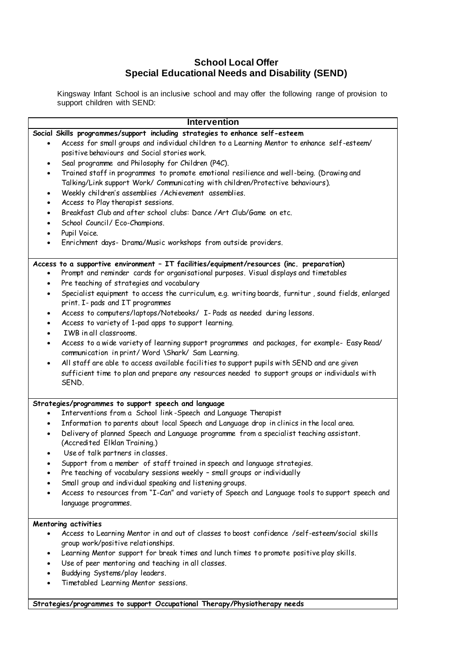# **School Local Offer Special Educational Needs and Disability (SEND)**

Kingsway Infant School is an inclusive school and may offer the following range of provision to support children with SEND:

| <b>Intervention</b>                                                                                                                                                                                                                                                                                                                                                                                                                                                                                  |
|------------------------------------------------------------------------------------------------------------------------------------------------------------------------------------------------------------------------------------------------------------------------------------------------------------------------------------------------------------------------------------------------------------------------------------------------------------------------------------------------------|
| Social Skills programmes/support including strategies to enhance self-esteem<br>Access for small groups and individual children to a Learning Mentor to enhance self-esteem/<br>positive behaviours and Social stories work.                                                                                                                                                                                                                                                                         |
| Seal programme and Philosophy for Children (P4C).<br>$\bullet$<br>Trained staff in programmes to promote emotional resilience and well-being. (Drawing and<br>٠<br>Talking/Link support Work/ Communicating with children/Protective behaviours).                                                                                                                                                                                                                                                    |
| Weekly children's assemblies /Achievement assemblies.<br>$\bullet$<br>Access to Play therapist sessions.<br>$\bullet$                                                                                                                                                                                                                                                                                                                                                                                |
| Breakfast Club and after school clubs: Dance / Art Club/Game on etc.<br>٠<br>School Council/ Eco-Champions.<br>$\bullet$<br>Pupil Voice.<br>$\bullet$                                                                                                                                                                                                                                                                                                                                                |
| Enrichment days- Drama/Music workshops from outside providers.<br>٠                                                                                                                                                                                                                                                                                                                                                                                                                                  |
| Access to a supportive environment - IT facilities/equipment/resources (inc. preparation)<br>Prompt and reminder cards for organisational purposes. Visual displays and timetables<br>Pre teaching of strategies and vocabulary<br>$\bullet$<br>Specialist equipment to access the curriculum, e.g. writing boards, furnitur, sound fields, enlarged<br>٠                                                                                                                                            |
| print. I- pads and IT programmes<br>Access to computers/laptops/Notebooks/ I- Pads as needed during lessons.<br>$\bullet$<br>Access to variety of 1-pad apps to support learning.<br>$\bullet$                                                                                                                                                                                                                                                                                                       |
| IWB in all classrooms.<br>Access to a wide variety of learning support programmes and packages, for example- Easy Read/<br>٠<br>communication in print/ Word \Shark/ Sam Learning.<br>All staff are able to access available facilities to support pupils with SEND and are given                                                                                                                                                                                                                    |
| $\bullet$<br>sufficient time to plan and prepare any resources needed to support groups or individuals with<br>SEND.                                                                                                                                                                                                                                                                                                                                                                                 |
| Strategies/programmes to support speech and language<br>Interventions from a School link-Speech and Language Therapist<br>Information to parents about local Speech and Language drop in clinics in the local area.<br>$\bullet$<br>Delivery of planned Speech and Language programme from a specialist teaching assistant.<br>٠<br>(Accredited Elklan Training.)<br>Use of talk partners in classes.<br>$\bullet$<br>Support from a member of staff trained in speech and language strategies.<br>٠ |
| Pre teaching of vocabulary sessions weekly - small groups or individually<br>Small group and individual speaking and listening groups.<br>Access to resources from "I-Can" and variety of Speech and Language tools to support speech and<br>language programmes.                                                                                                                                                                                                                                    |
| <b>Mentoring activities</b><br>Access to Learning Mentor in and out of classes to boost confidence /self-esteem/social skills<br>group work/positive relationships.<br>Learning Mentor support for break times and lunch times to promote positive play skills.<br>٠                                                                                                                                                                                                                                 |
| Use of peer mentoring and teaching in all classes.<br>Buddying Systems/play leaders.<br>Timetabled Learning Mentor sessions.                                                                                                                                                                                                                                                                                                                                                                         |

**Strategies/programmes to support Occupational Therapy/Physiotherapy needs**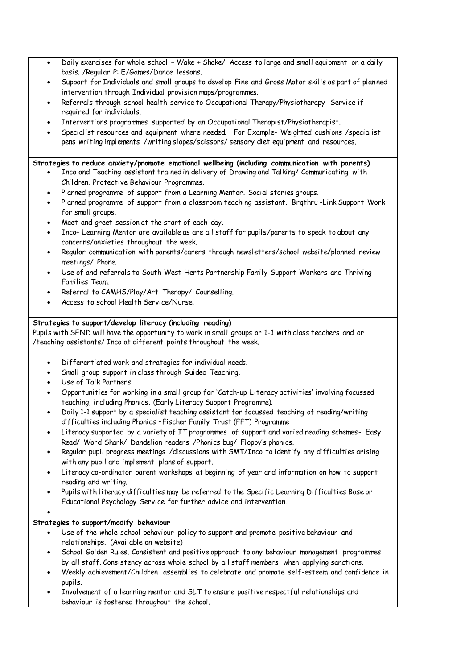- Daily exercises for whole school Wake + Shake/ Access to large and small equipment on a daily basis. /Regular P: E/Games/Dance lessons.
- Support for Individuals and small groups to develop Fine and Gross Motor skills as part of planned intervention through Individual provision maps/programmes.
- Referrals through school health service to Occupational Therapy/Physiotherapy Service if required for individuals.
- Interventions programmes supported by an Occupational Therapist/Physiotherapist.
- Specialist resources and equipment where needed. For Example- Weighted cushions /specialist pens writing implements /writing slopes/scissors/ sensory diet equipment and resources.

#### **Strategies to reduce anxiety/promote emotional wellbeing (including communication with parents)**

- Inco and Teaching assistant trained in delivery of Drawing and Talking/ Communicating with Children. Protective Behaviour Programmes.
- Planned programme of support from a Learning Mentor. Social stories groups.
- Planned programme of support from a classroom teaching assistant. Brqthru -Link Support Work for small groups.
- Meet and greet session at the start of each day.
- Inco+ Learning Mentor are available as are all staff for pupils/parents to speak to about any concerns/anxieties throughout the week.
- Regular communication with parents/carers through newsletters/school website/planned review meetings/ Phone.
- Use of and referrals to South West Herts Partnership Family Support Workers and Thriving Families Team.
- Referral to CAMHS/Play/Art Therapy/ Counselling.
- Access to school Health Service/Nurse.

# **Strategies to support/develop literacy (including reading)**

Pupils with SEND will have the opportunity to work in small groups or 1-1 with class teachers and or /teaching assistants/ Inco at different points throughout the week.

- Differentiated work and strategies for individual needs.
- Small group support in class through Guided Teaching.
- Use of Talk Partners.
- Opportunities for working in a small group for 'Catch-up Literacy activities' involving focussed teaching, including Phonics. (Early Literacy Support Programme).
- Daily 1-1 support by a specialist teaching assistant for focussed teaching of reading/writing difficulties including Phonics –Fischer Family Trust (FFT) Programme
- Literacy supported by a variety of IT programmes of support and varied reading schemes- Easy Read/ Word Shark/ Dandelion readers /Phonics bug/ Floppy's phonics.
- Regular pupil progress meetings /discussions with SMT/Inco to identify any difficulties arising with any pupil and implement plans of support.
- Literacy co-ordinator parent workshops at beginning of year and information on how to support reading and writing.
- Pupils with literacy difficulties may be referred to the Specific Learning Difficulties Base or Educational Psychology Service for further advice and intervention.
- $\bullet$

# **Strategies to support/modify behaviour**

- Use of the whole school behaviour policy to support and promote positive behaviour and relationships. (Available on website)
- School Golden Rules. Consistent and positive approach to any behaviour management programmes by all staff. Consistency across whole school by all staff members when applying sanctions.
- Weekly achievement/Children assemblies to celebrate and promote self-esteem and confidence in pupils.
- Involvement of a learning mentor and SLT to ensure positive respectful relationships and behaviour is fostered throughout the school.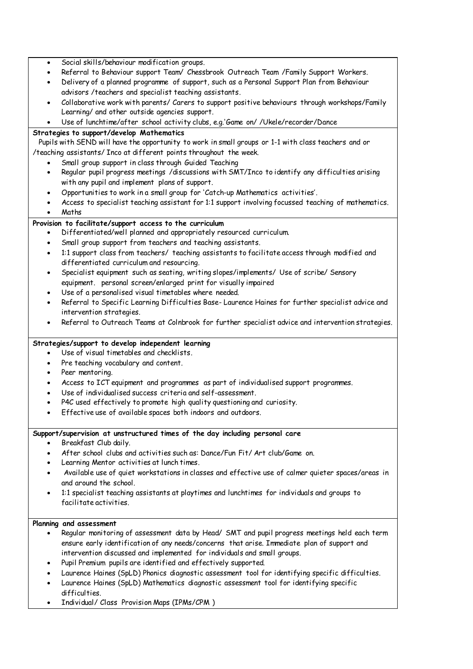- Social skills/behaviour modification groups.
- Referral to Behaviour support Team/ Chessbrook Outreach Team /Family Support Workers.
- Delivery of a planned programme of support, such as a Personal Support Plan from Behaviour advisors /teachers and specialist teaching assistants.
- Collaborative work with parents/ Carers to support positive behaviours through workshops/Family Learning/ and other outside agencies support.
- Use of lunchtime/after school activity clubs, e.g.'Game on/ /Ukele/recorder/Dance

### **Strategies to support/develop Mathematics**

Pupils with SEND will have the opportunity to work in small groups or 1-1 with class teachers and or /teaching assistants/ Inco at different points throughout the week.

- Small group support in class through Guided Teaching
- Regular pupil progress meetings /discussions with SMT/Inco to identify any difficulties arising with any pupil and implement plans of support.
- Opportunities to work in a small group for 'Catch-up Mathematics activities'.
- Access to specialist teaching assistant for 1:1 support involving focussed teaching of mathematics. Maths

# **Provision to facilitate/support access to the curriculum**

- Differentiated/well planned and appropriately resourced curriculum.
- Small group support from teachers and teaching assistants.
- 1:1 support class from teachers/ teaching assistants to facilitate access through modified and differentiated curriculum and resourcing.
- Specialist equipment such as seating, writing slopes/implements/ Use of scribe/ Sensory equipment. personal screen/enlarged print for visually impaired
- Use of a personalised visual timetables where needed.
- Referral to Specific Learning Difficulties Base- Laurence Haines for further specialist advice and intervention strategies.
- Referral to Outreach Teams at Colnbrook for further specialist advice and intervention strategies.

# **Strategies/support to develop independent learning**

- Use of visual timetables and checklists.
- Pre teaching vocabulary and content.
- Peer mentoring.
- Access to ICT equipment and programmes as part of individualised support programmes.
- Use of individualised success criteria and self-assessment.
- P4C used effectively to promote high quality questioning and curiosity.
- Effective use of available spaces both indoors and outdoors.

#### **Support/supervision at unstructured times of the day including personal care**

- Breakfast Club daily.
- After school clubs and activities such as: Dance/Fun Fit/ Art club/Game on.
- Learning Mentor activities at lunch times.
- Available use of quiet workstations in classes and effective use of calmer quieter spaces/areas in and around the school.
- 1:1 specialist teaching assistants at playtimes and lunchtimes for individuals and groups to facilitate activities.

#### **Planning and assessment**

- Regular monitoring of assessment data by Head/ SMT and pupil progress meetings held each term ensure early identification of any needs/concerns that arise. Immediate plan of support and intervention discussed and implemented for individuals and small groups.
- Pupil Premium pupils are identified and effectively supported.
- Laurence Haines (SpLD) Phonics diagnostic assessment tool for identifying specific difficulties.
- Laurence Haines (SpLD) Mathematics diagnostic assessment tool for identifying specific difficulties.
- Individual/ Class Provision Maps (IPMs/CPM )